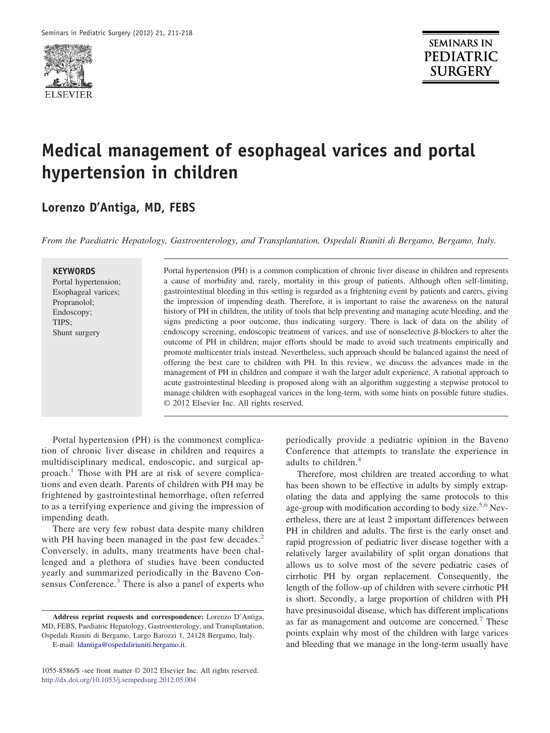

# **Medical management of esophageal varices and portal hypertension in children**

## **Lorenzo D'Antiga, MD, FEBS**

*From the Paediatric Hepatology, Gastroenterology, and Transplantation, Ospedali Riuniti di Bergamo, Bergamo, Italy.*

#### **KEYWORDS**

Portal hypertension; Esophageal varices; Propranolol; Endoscopy; TIPS; Shunt surgery

Portal hypertension (PH) is a common complication of chronic liver disease in children and represents a cause of morbidity and, rarely, mortality in this group of patients. Although often self-limiting, gastrointestinal bleeding in this setting is regarded as a frightening event by patients and carers, giving the impression of impending death. Therefore, it is important to raise the awareness on the natural history of PH in children, the utility of tools that help preventing and managing acute bleeding, and the signs predicting a poor outcome, thus indicating surgery. There is lack of data on the ability of endoscopy screening, endoscopic treatment of varices, and use of nonselective  $\beta$ -blockers to alter the outcome of PH in children; major efforts should be made to avoid such treatments empirically and promote multicenter trials instead. Nevertheless, such approach should be balanced against the need of offering the best care to children with PH. In this review, we discuss the advances made in the management of PH in children and compare it with the larger adult experience. A rational approach to acute gastrointestinal bleeding is proposed along with an algorithm suggesting a stepwise protocol to manage children with esophageal varices in the long-term, with some hints on possible future studies. © 2012 Elsevier Inc. All rights reserved.

Portal hypertension (PH) is the commonest complication of chronic liver disease in children and requires a multidisciplinary medical, endoscopic, and surgical approach.<sup>1</sup> Those with PH are at risk of severe complications and even death. Parents of children with PH may be frightened by gastrointestinal hemorrhage, often referred to as a terrifying experience and giving the impression of impending death.

There are very few robust data despite many children with PH having been managed in the past few decades.<sup>2</sup> Conversely, in adults, many treatments have been challenged and a plethora of studies have been conducted yearly and summarized periodically in the Baveno Consensus Conference. $3$  There is also a panel of experts who periodically provide a pediatric opinion in the Baveno Conference that attempts to translate the experience in adults to children.<sup>4</sup>

Therefore, most children are treated according to what has been shown to be effective in adults by simply extrapolating the data and applying the same protocols to this age-group with modification according to body size.<sup>5,6</sup> Nevertheless, there are at least 2 important differences between PH in children and adults. The first is the early onset and rapid progression of pediatric liver disease together with a relatively larger availability of split organ donations that allows us to solve most of the severe pediatric cases of cirrhotic PH by organ replacement. Consequently, the length of the follow-up of children with severe cirrhotic PH is short. Secondly, a large proportion of children with PH have presinusoidal disease, which has different implications as far as management and outcome are concerned.<sup>7</sup> These points explain why most of the children with large varices and bleeding that we manage in the long-term usually have

**Address reprint requests and correspondence:** Lorenzo D'Antiga, MD, FEBS, Paediatric Hepatology, Gastroenterology, and Transplantation, Ospedali Riuniti di Bergamo, Largo Barozzi 1, 24128 Bergamo, Italy.

E-mail: [ldantiga@ospedaliriuniti.bergamo.it.](mailto:ldantiga@ospedaliriuniti.bergamo.it)

<sup>1055-8586/\$ -</sup>see front matter © 2012 Elsevier Inc. All rights reserved. <http://dx.doi.org/10.1053/j.sempedsurg.2012.05.004>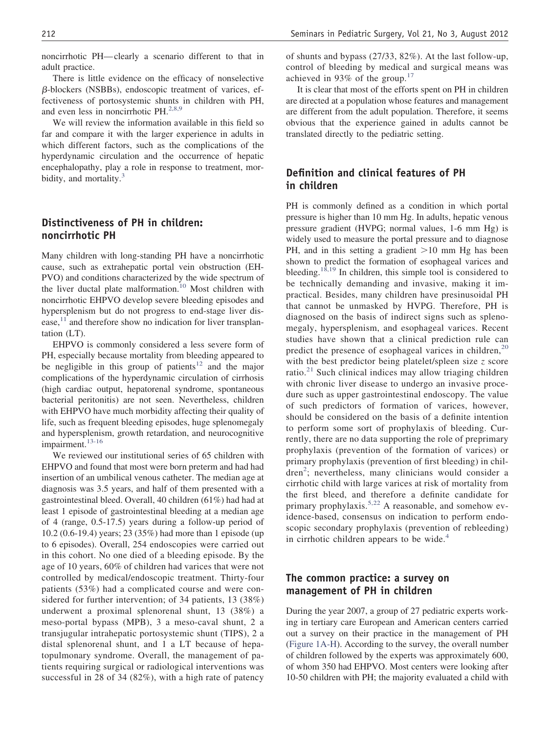noncirrhotic PH— clearly a scenario different to that in adult practice.

There is little evidence on the efficacy of nonselective -blockers (NSBBs), endoscopic treatment of varices, effectiveness of portosystemic shunts in children with PH, and even less in noncirrhotic  $PH.<sup>2,8,9</sup>$ 

We will review the information available in this field so far and compare it with the larger experience in adults in which different factors, such as the complications of the hyperdynamic circulation and the occurrence of hepatic encephalopathy, play a role in response to treatment, morbidity, and mortality. $3$ 

### **Distinctiveness of PH in children: noncirrhotic PH**

Many children with long-standing PH have a noncirrhotic cause, such as extrahepatic portal vein obstruction (EH-PVO) and conditions characterized by the wide spectrum of the liver ductal plate malformation.<sup>10</sup> Most children with noncirrhotic EHPVO develop severe bleeding episodes and hypersplenism but do not progress to end-stage liver disease, $^{11}$  and therefore show no indication for liver transplantation (LT).

EHPVO is commonly considered a less severe form of PH, especially because mortality from bleeding appeared to be negligible in this group of patients<sup>12</sup> and the major complications of the hyperdynamic circulation of cirrhosis (high cardiac output, hepatorenal syndrome, spontaneous bacterial peritonitis) are not seen. Nevertheless, children with EHPVO have much morbidity affecting their quality of life, such as frequent bleeding episodes, huge splenomegaly and hypersplenism, growth retardation, and neurocognitive impairment.<sup>13-16</sup>

We reviewed our institutional series of 65 children with EHPVO and found that most were born preterm and had had insertion of an umbilical venous catheter. The median age at diagnosis was 3.5 years, and half of them presented with a gastrointestinal bleed. Overall, 40 children (61%) had had at least 1 episode of gastrointestinal bleeding at a median age of 4 (range, 0.5-17.5) years during a follow-up period of 10.2 (0.6-19.4) years; 23 (35%) had more than 1 episode (up to 6 episodes). Overall, 254 endoscopies were carried out in this cohort. No one died of a bleeding episode. By the age of 10 years, 60% of children had varices that were not controlled by medical/endoscopic treatment. Thirty-four patients (53%) had a complicated course and were considered for further intervention; of 34 patients, 13 (38%) underwent a proximal splenorenal shunt, 13 (38%) a meso-portal bypass (MPB), 3 a meso-caval shunt, 2 a transjugular intrahepatic portosystemic shunt (TIPS), 2 a distal splenorenal shunt, and 1 a LT because of hepatopulmonary syndrome. Overall, the management of patients requiring surgical or radiological interventions was successful in 28 of 34 (82%), with a high rate of patency

of shunts and bypass (27/33, 82%). At the last follow-up, control of bleeding by medical and surgical means was achieved in 93% of the group.<sup>17</sup>

It is clear that most of the efforts spent on PH in children are directed at a population whose features and management are different from the adult population. Therefore, it seems obvious that the experience gained in adults cannot be translated directly to the pediatric setting.

## **Definition and clinical features of PH in children**

PH is commonly defined as a condition in which portal pressure is higher than 10 mm Hg. In adults, hepatic venous pressure gradient (HVPG; normal values, 1-6 mm Hg) is widely used to measure the portal pressure and to diagnose PH, and in this setting a gradient  $>10$  mm Hg has been shown to predict the formation of esophageal varices and bleeding.<sup>18,19</sup> In children, this simple tool is considered to be technically demanding and invasive, making it impractical. Besides, many children have presinusoidal PH that cannot be unmasked by HVPG. Therefore, PH is diagnosed on the basis of indirect signs such as splenomegaly, hypersplenism, and esophageal varices. Recent studies have shown that a clinical prediction rule can predict the presence of esophageal varices in children,  $20$ with the best predictor being platelet/spleen size *z* score ratio. $21$  Such clinical indices may allow triaging children with chronic liver disease to undergo an invasive procedure such as upper gastrointestinal endoscopy. The value of such predictors of formation of varices, however, should be considered on the basis of a definite intention to perform some sort of prophylaxis of bleeding. Currently, there are no data supporting the role of preprimary prophylaxis (prevention of the formation of varices) or primary prophylaxis (prevention of first bleeding) in children<sup>2</sup>; nevertheless, many clinicians would consider a cirrhotic child with large varices at risk of mortality from the first bleed, and therefore a definite candidate for primary prophylaxis.<sup>5,22</sup> A reasonable, and somehow evidence-based, consensus on indication to perform endoscopic secondary prophylaxis (prevention of rebleeding) in cirrhotic children appears to be wide.<sup>4</sup>

#### **The common practice: a survey on management of PH in children**

During the year 2007, a group of 27 pediatric experts working in tertiary care European and American centers carried out a survey on their practice in the management of PH (Figure 1A-H). According to the survey, the overall number of children followed by the experts was approximately 600, of whom 350 had EHPVO. Most centers were looking after 10-50 children with PH; the majority evaluated a child with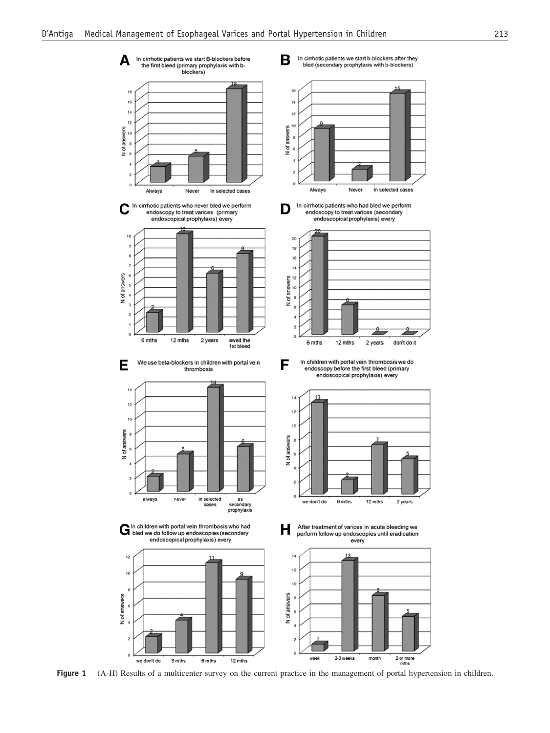

**Figure 1** (A-H) Results of a multicenter survey on the current practice in the management of portal hypertension in children.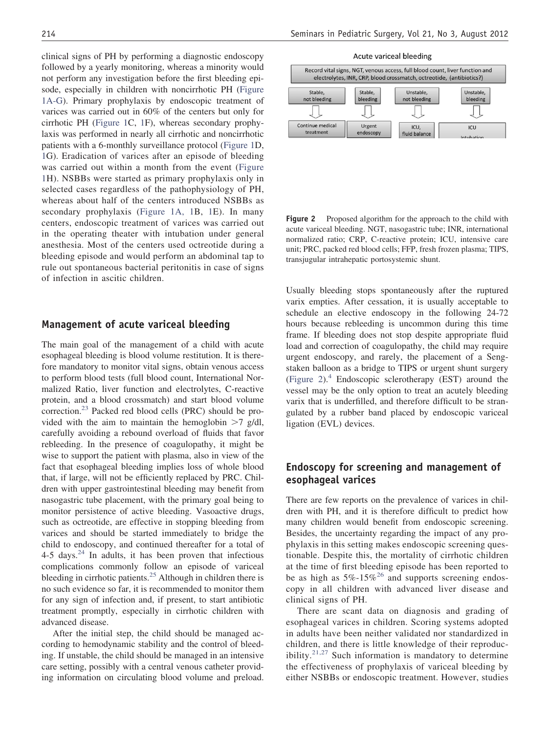clinical signs of PH by performing a diagnostic endoscopy followed by a yearly monitoring, whereas a minority would not perform any investigation before the first bleeding episode, especially in children with noncirrhotic PH (Figure 1A-G). Primary prophylaxis by endoscopic treatment of varices was carried out in 60% of the centers but only for cirrhotic PH (Figure 1C, 1F), whereas secondary prophylaxis was performed in nearly all cirrhotic and noncirrhotic patients with a 6-monthly surveillance protocol (Figure 1D, 1G). Eradication of varices after an episode of bleeding was carried out within a month from the event (Figure 1H). NSBBs were started as primary prophylaxis only in selected cases regardless of the pathophysiology of PH, whereas about half of the centers introduced NSBBs as secondary prophylaxis (Figure 1A, 1B, 1E). In many centers, endoscopic treatment of varices was carried out in the operating theater with intubation under general anesthesia. Most of the centers used octreotide during a bleeding episode and would perform an abdominal tap to rule out spontaneous bacterial peritonitis in case of signs of infection in ascitic children.

#### **Management of acute variceal bleeding**

The main goal of the management of a child with acute esophageal bleeding is blood volume restitution. It is therefore mandatory to monitor vital signs, obtain venous access to perform blood tests (full blood count, International Normalized Ratio, liver function and electrolytes, C-reactive protein, and a blood crossmatch) and start blood volume correction.<sup>23</sup> Packed red blood cells (PRC) should be provided with the aim to maintain the hemoglobin  $>7$  g/dl, carefully avoiding a rebound overload of fluids that favor rebleeding. In the presence of coagulopathy, it might be wise to support the patient with plasma, also in view of the fact that esophageal bleeding implies loss of whole blood that, if large, will not be efficiently replaced by PRC. Children with upper gastrointestinal bleeding may benefit from nasogastric tube placement, with the primary goal being to monitor persistence of active bleeding. Vasoactive drugs, such as octreotide, are effective in stopping bleeding from varices and should be started immediately to bridge the child to endoscopy, and continued thereafter for a total of 4-5 days. $24$  In adults, it has been proven that infectious complications commonly follow an episode of variceal bleeding in cirrhotic patients.<sup>25</sup> Although in children there is no such evidence so far, it is recommended to monitor them for any sign of infection and, if present, to start antibiotic treatment promptly, especially in cirrhotic children with advanced disease.

After the initial step, the child should be managed according to hemodynamic stability and the control of bleeding. If unstable, the child should be managed in an intensive care setting, possibly with a central venous catheter providing information on circulating blood volume and preload. **Figure 2** Proposed algorithm for the approach to the child with acute variceal bleeding. NGT, nasogastric tube; INR, international normalized ratio; CRP, C-reactive protein; ICU, intensive care unit; PRC, packed red blood cells; FFP, fresh frozen plasma; TIPS, transjugular intrahepatic portosystemic shunt.

Usually bleeding stops spontaneously after the ruptured varix empties. After cessation, it is usually acceptable to schedule an elective endoscopy in the following 24-72 hours because rebleeding is uncommon during this time frame. If bleeding does not stop despite appropriate fluid load and correction of coagulopathy, the child may require urgent endoscopy, and rarely, the placement of a Sengstaken balloon as a bridge to TIPS or urgent shunt surgery (Figure 2).<sup>4</sup> Endoscopic sclerotherapy (EST) around the vessel may be the only option to treat an acutely bleeding varix that is underfilled, and therefore difficult to be strangulated by a rubber band placed by endoscopic variceal ligation (EVL) devices.

#### **Endoscopy for screening and management of esophageal varices**

There are few reports on the prevalence of varices in children with PH, and it is therefore difficult to predict how many children would benefit from endoscopic screening. Besides, the uncertainty regarding the impact of any prophylaxis in this setting makes endoscopic screening questionable. Despite this, the mortality of cirrhotic children at the time of first bleeding episode has been reported to be as high as  $5\%$ -15%<sup>26</sup> and supports screening endoscopy in all children with advanced liver disease and clinical signs of PH.

There are scant data on diagnosis and grading of esophageal varices in children. Scoring systems adopted in adults have been neither validated nor standardized in children, and there is little knowledge of their reproducibility. $2^{1,27}$  Such information is mandatory to determine the effectiveness of prophylaxis of variceal bleeding by either NSBBs or endoscopic treatment. However, studies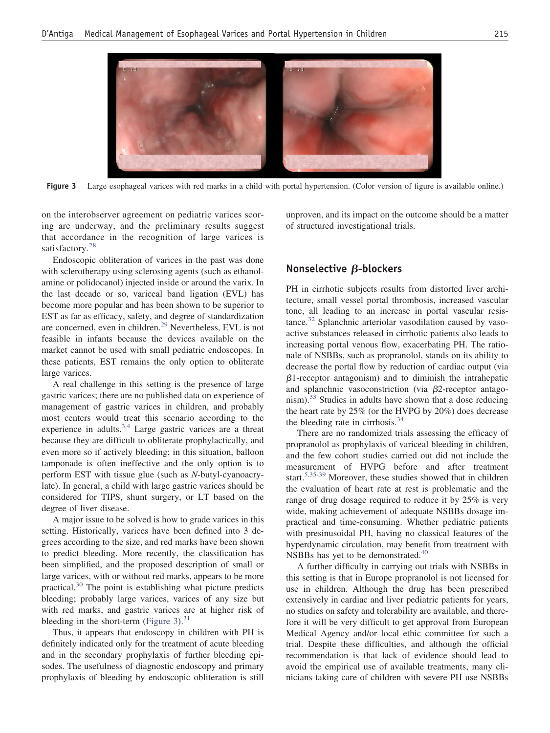

**Figure 3** Large esophageal varices with red marks in a child with portal hypertension. (Color version of figure is available online.)

on the interobserver agreement on pediatric varices scoring are underway, and the preliminary results suggest that accordance in the recognition of large varices is satisfactory.<sup>28</sup>

Endoscopic obliteration of varices in the past was done with sclerotherapy using sclerosing agents (such as ethanolamine or polidocanol) injected inside or around the varix. In the last decade or so, variceal band ligation (EVL) has become more popular and has been shown to be superior to EST as far as efficacy, safety, and degree of standardization are concerned, even in children.29 Nevertheless, EVL is not feasible in infants because the devices available on the market cannot be used with small pediatric endoscopes. In these patients, EST remains the only option to obliterate large varices.

A real challenge in this setting is the presence of large gastric varices; there are no published data on experience of management of gastric varices in children, and probably most centers would treat this scenario according to the experience in adults.<sup>3,4</sup> Large gastric varices are a threat because they are difficult to obliterate prophylactically, and even more so if actively bleeding; in this situation, balloon tamponade is often ineffective and the only option is to perform EST with tissue glue (such as *N*-butyl-cyanoacrylate). In general, a child with large gastric varices should be considered for TIPS, shunt surgery, or LT based on the degree of liver disease.

A major issue to be solved is how to grade varices in this setting. Historically, varices have been defined into 3 degrees according to the size, and red marks have been shown to predict bleeding. More recently, the classification has been simplified, and the proposed description of small or large varices, with or without red marks, appears to be more practical.<sup>30</sup> The point is establishing what picture predicts bleeding; probably large varices, varices of any size but with red marks, and gastric varices are at higher risk of bleeding in the short-term (Figure 3). $31$ 

Thus, it appears that endoscopy in children with PH is definitely indicated only for the treatment of acute bleeding and in the secondary prophylaxis of further bleeding episodes. The usefulness of diagnostic endoscopy and primary prophylaxis of bleeding by endoscopic obliteration is still unproven, and its impact on the outcome should be a matter of structured investigational trials.

### **Nonselective β-blockers**

PH in cirrhotic subjects results from distorted liver architecture, small vessel portal thrombosis, increased vascular tone, all leading to an increase in portal vascular resistance. $32$  Splanchnic arteriolar vasodilation caused by vasoactive substances released in cirrhotic patients also leads to increasing portal venous flow, exacerbating PH. The rationale of NSBBs, such as propranolol, stands on its ability to decrease the portal flow by reduction of cardiac output (via  $\beta$ 1-receptor antagonism) and to diminish the intrahepatic and splanchnic vasoconstriction (via  $\beta$ 2-receptor antagonism). $33$  Studies in adults have shown that a dose reducing the heart rate by 25% (or the HVPG by 20%) does decrease the bleeding rate in cirrhosis.<sup>34</sup>

There are no randomized trials assessing the efficacy of propranolol as prophylaxis of variceal bleeding in children, and the few cohort studies carried out did not include the measurement of HVPG before and after treatment start.<sup>5,35-39</sup> Moreover, these studies showed that in children the evaluation of heart rate at rest is problematic and the range of drug dosage required to reduce it by 25% is very wide, making achievement of adequate NSBBs dosage impractical and time-consuming. Whether pediatric patients with presinusoidal PH, having no classical features of the hyperdynamic circulation, may benefit from treatment with NSBBs has yet to be demonstrated. $40$ 

A further difficulty in carrying out trials with NSBBs in this setting is that in Europe propranolol is not licensed for use in children. Although the drug has been prescribed extensively in cardiac and liver pediatric patients for years, no studies on safety and tolerability are available, and therefore it will be very difficult to get approval from European Medical Agency and/or local ethic committee for such a trial. Despite these difficulties, and although the official recommendation is that lack of evidence should lead to avoid the empirical use of available treatments, many clinicians taking care of children with severe PH use NSBBs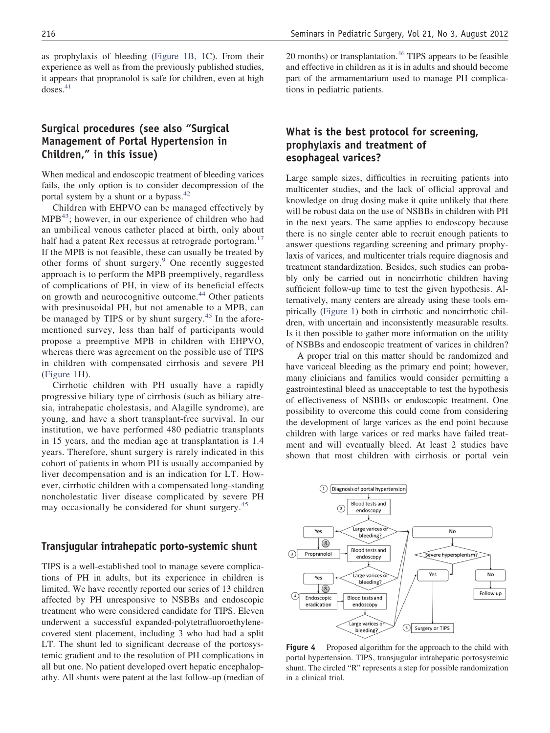as prophylaxis of bleeding (Figure 1B, 1C). From their experience as well as from the previously published studies, it appears that propranolol is safe for children, even at high  $doses.<sup>41</sup>$ 

## **Surgical procedures (see also "Surgical Management of Portal Hypertension in Children," in this issue)**

When medical and endoscopic treatment of bleeding varices fails, the only option is to consider decompression of the portal system by a shunt or a bypass.<sup>42</sup>

Children with EHPVO can be managed effectively by MPB<sup>43</sup>; however, in our experience of children who had an umbilical venous catheter placed at birth, only about half had a patent Rex recessus at retrograde portogram.<sup>17</sup> If the MPB is not feasible, these can usually be treated by other forms of shunt surgery.<sup>9</sup> One recently suggested approach is to perform the MPB preemptively, regardless of complications of PH, in view of its beneficial effects on growth and neurocognitive outcome.<sup>44</sup> Other patients with presinusoidal PH, but not amenable to a MPB, can be managed by TIPS or by shunt surgery.<sup>45</sup> In the aforementioned survey, less than half of participants would propose a preemptive MPB in children with EHPVO, whereas there was agreement on the possible use of TIPS in children with compensated cirrhosis and severe PH (Figure 1H).

Cirrhotic children with PH usually have a rapidly progressive biliary type of cirrhosis (such as biliary atresia, intrahepatic cholestasis, and Alagille syndrome), are young, and have a short transplant-free survival. In our institution, we have performed 480 pediatric transplants in 15 years, and the median age at transplantation is 1.4 years. Therefore, shunt surgery is rarely indicated in this cohort of patients in whom PH is usually accompanied by liver decompensation and is an indication for LT. However, cirrhotic children with a compensated long-standing noncholestatic liver disease complicated by severe PH may occasionally be considered for shunt surgery.<sup>45</sup>

#### **Transjugular intrahepatic porto-systemic shunt**

TIPS is a well-established tool to manage severe complications of PH in adults, but its experience in children is limited. We have recently reported our series of 13 children affected by PH unresponsive to NSBBs and endoscopic treatment who were considered candidate for TIPS. Eleven underwent a successful expanded-polytetrafluoroethylenecovered stent placement, including 3 who had had a split LT. The shunt led to significant decrease of the portosystemic gradient and to the resolution of PH complications in all but one. No patient developed overt hepatic encephalopathy. All shunts were patent at the last follow-up (median of 20 months) or transplantation.<sup>46</sup> TIPS appears to be feasible and effective in children as it is in adults and should become part of the armamentarium used to manage PH complications in pediatric patients.

### **What is the best protocol for screening, prophylaxis and treatment of esophageal varices?**

Large sample sizes, difficulties in recruiting patients into multicenter studies, and the lack of official approval and knowledge on drug dosing make it quite unlikely that there will be robust data on the use of NSBBs in children with PH in the next years. The same applies to endoscopy because there is no single center able to recruit enough patients to answer questions regarding screening and primary prophylaxis of varices, and multicenter trials require diagnosis and treatment standardization. Besides, such studies can probably only be carried out in noncirrhotic children having sufficient follow-up time to test the given hypothesis. Alternatively, many centers are already using these tools empirically (Figure 1) both in cirrhotic and noncirrhotic children, with uncertain and inconsistently measurable results. Is it then possible to gather more information on the utility of NSBBs and endoscopic treatment of varices in children?

A proper trial on this matter should be randomized and have variceal bleeding as the primary end point; however, many clinicians and families would consider permitting a gastrointestinal bleed as unacceptable to test the hypothesis of effectiveness of NSBBs or endoscopic treatment. One possibility to overcome this could come from considering the development of large varices as the end point because children with large varices or red marks have failed treatment and will eventually bleed. At least 2 studies have shown that most children with cirrhosis or portal vein



**Figure 4** Proposed algorithm for the approach to the child with portal hypertension. TIPS, transjugular intrahepatic portosystemic shunt. The circled "R" represents a step for possible randomization in a clinical trial.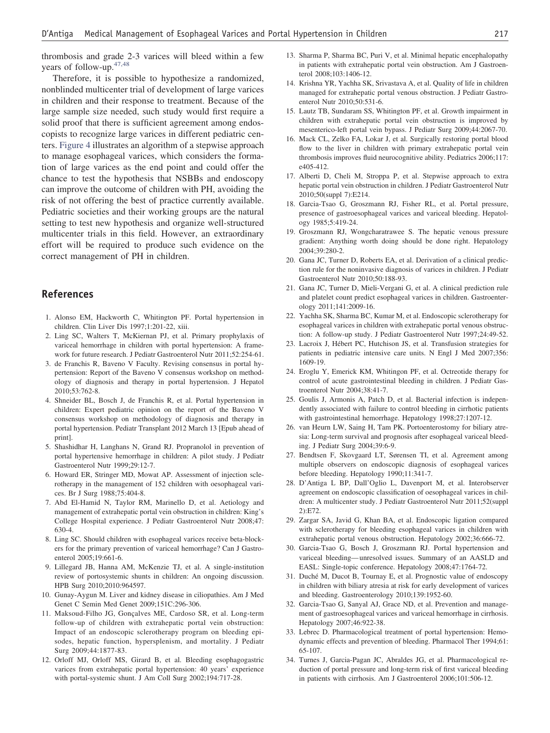thrombosis and grade 2-3 varices will bleed within a few years of follow-up. $47,48$ 

Therefore, it is possible to hypothesize a randomized, nonblinded multicenter trial of development of large varices in children and their response to treatment. Because of the large sample size needed, such study would first require a solid proof that there is sufficient agreement among endoscopists to recognize large varices in different pediatric centers. Figure 4 illustrates an algorithm of a stepwise approach to manage esophageal varices, which considers the formation of large varices as the end point and could offer the chance to test the hypothesis that NSBBs and endoscopy can improve the outcome of children with PH, avoiding the risk of not offering the best of practice currently available. Pediatric societies and their working groups are the natural setting to test new hypothesis and organize well-structured multicenter trials in this field. However, an extraordinary effort will be required to produce such evidence on the correct management of PH in children.

#### **References**

- 1. Alonso EM, Hackworth C, Whitington PF. Portal hypertension in children. Clin Liver Dis 1997;1:201-22, xiii.
- 2. Ling SC, Walters T, McKiernan PJ, et al. Primary prophylaxis of variceal hemorrhage in children with portal hypertension: A framework for future research. J Pediatr Gastroenterol Nutr 2011;52:254-61.
- 3. de Franchis R, Baveno V Faculty. Revising consensus in portal hypertension: Report of the Baveno V consensus workshop on methodology of diagnosis and therapy in portal hypertension. J Hepatol 2010;53:762-8.
- 4. Shneider BL, Bosch J, de Franchis R, et al. Portal hypertension in children: Expert pediatric opinion on the report of the Baveno V consensus workshop on methodology of diagnosis and therapy in portal hypertension. Pediatr Transplant 2012 March 13 [Epub ahead of print].
- 5. Shashidhar H, Langhans N, Grand RJ. Propranolol in prevention of portal hypertensive hemorrhage in children: A pilot study. J Pediatr Gastroenterol Nutr 1999;29:12-7.
- 6. Howard ER, Stringer MD, Mowat AP. Assessment of injection sclerotherapy in the management of 152 children with oesophageal varices. Br J Surg 1988;75:404-8.
- 7. Abd El-Hamid N, Taylor RM, Marinello D, et al. Aetiology and management of extrahepatic portal vein obstruction in children: King's College Hospital experience. J Pediatr Gastroenterol Nutr 2008;47: 630-4.
- 8. Ling SC. Should children with esophageal varices receive beta-blockers for the primary prevention of variceal hemorrhage? Can J Gastroenterol 2005;19:661-6.
- 9. Lillegard JB, Hanna AM, McKenzie TJ, et al. A single-institution review of portosystemic shunts in children: An ongoing discussion. HPB Surg 2010;2010:964597.
- 10. Gunay-Aygun M. Liver and kidney disease in ciliopathies. Am J Med Genet C Semin Med Genet 2009;151C:296-306.
- 11. Maksoud-Filho JG, Gonçalves ME, Cardoso SR, et al. Long-term follow-up of children with extrahepatic portal vein obstruction: Impact of an endoscopic sclerotherapy program on bleeding episodes, hepatic function, hypersplenism, and mortality. J Pediatr Surg 2009;44:1877-83.
- 12. Orloff MJ, Orloff MS, Girard B, et al. Bleeding esophagogastric varices from extrahepatic portal hypertension: 40 years' experience with portal-systemic shunt. J Am Coll Surg 2002;194:717-28.
- 13. Sharma P, Sharma BC, Puri V, et al. Minimal hepatic encephalopathy in patients with extrahepatic portal vein obstruction. Am J Gastroenterol 2008;103:1406-12.
- 14. Krishna YR, Yachha SK, Srivastava A, et al. Quality of life in children managed for extrahepatic portal venous obstruction. J Pediatr Gastroenterol Nutr 2010;50:531-6.
- 15. Lautz TB, Sundaram SS, Whitington PF, et al. Growth impairment in children with extrahepatic portal vein obstruction is improved by mesenterico-left portal vein bypass. J Pediatr Surg 2009;44:2067-70.
- 16. Mack CL, Zelko FA, Lokar J, et al. Surgically restoring portal blood flow to the liver in children with primary extrahepatic portal vein thrombosis improves fluid neurocognitive ability. Pediatrics 2006;117: e405-412.
- 17. Alberti D, Cheli M, Stroppa P, et al. Stepwise approach to extra hepatic portal vein obstruction in children. J Pediatr Gastroenterol Nutr 2010;50(suppl 7):E214.
- 18. Garcia-Tsao G, Groszmann RJ, Fisher RL, et al. Portal pressure, presence of gastroesophageal varices and variceal bleeding. Hepatology 1985;5:419-24.
- 19. Groszmann RJ, Wongcharatrawee S. The hepatic venous pressure gradient: Anything worth doing should be done right. Hepatology 2004;39:280-2.
- 20. Gana JC, Turner D, Roberts EA, et al. Derivation of a clinical prediction rule for the noninvasive diagnosis of varices in children. J Pediatr Gastroenterol Nutr 2010;50:188-93.
- 21. Gana JC, Turner D, Mieli-Vergani G, et al. A clinical prediction rule and platelet count predict esophageal varices in children. Gastroenterology 2011;141:2009-16.
- 22. Yachha SK, Sharma BC, Kumar M, et al. Endoscopic sclerotherapy for esophageal varices in children with extrahepatic portal venous obstruction: A follow-up study. J Pediatr Gastroenterol Nutr 1997;24:49-52.
- 23. Lacroix J, Hébert PC, Hutchison JS, et al. Transfusion strategies for patients in pediatric intensive care units. N Engl J Med 2007;356: 1609-19.
- 24. Eroglu Y, Emerick KM, Whitingon PF, et al. Octreotide therapy for control of acute gastrointestinal bleeding in children. J Pediatr Gastroenterol Nutr 2004;38:41-7.
- 25. Goulis J, Armonis A, Patch D, et al. Bacterial infection is independently associated with failure to control bleeding in cirrhotic patients with gastrointestinal hemorrhage. Hepatology 1998;27:1207-12.
- 26. van Heurn LW, Saing H, Tam PK. Portoenterostomy for biliary atresia: Long-term survival and prognosis after esophageal variceal bleeding. J Pediatr Surg 2004;39:6-9.
- 27. Bendtsen F, Skovgaard LT, Sørensen TI, et al. Agreement among multiple observers on endoscopic diagnosis of esophageal varices before bleeding. Hepatology 1990;11:341-7.
- 28. D'Antiga L BP, Dall'Oglio L, Davenport M, et al. Interobserver agreement on endoscopic classification of oesophageal varices in children: A multicenter study. J Pediatr Gastroenterol Nutr 2011;52(suppl 2):E72.
- 29. Zargar SA, Javid G, Khan BA, et al. Endoscopic ligation compared with sclerotherapy for bleeding esophageal varices in children with extrahepatic portal venous obstruction. Hepatology 2002;36:666-72.
- 30. Garcia-Tsao G, Bosch J, Groszmann RJ. Portal hypertension and variceal bleeding— unresolved issues. Summary of an AASLD and EASL: Single-topic conference. Hepatology 2008;47:1764-72.
- 31. Duché M, Ducot B, Tournay E, et al. Prognostic value of endoscopy in children with biliary atresia at risk for early development of varices and bleeding. Gastroenterology 2010;139:1952-60.
- 32. Garcia-Tsao G, Sanyal AJ, Grace ND, et al. Prevention and management of gastroesophageal varices and variceal hemorrhage in cirrhosis. Hepatology 2007;46:922-38.
- 33. Lebrec D. Pharmacological treatment of portal hypertension: Hemodynamic effects and prevention of bleeding. Pharmacol Ther 1994;61: 65-107.
- 34. Turnes J, Garcia-Pagan JC, Abraldes JG, et al. Pharmacological reduction of portal pressure and long-term risk of first variceal bleeding in patients with cirrhosis. Am J Gastroenterol 2006;101:506-12.